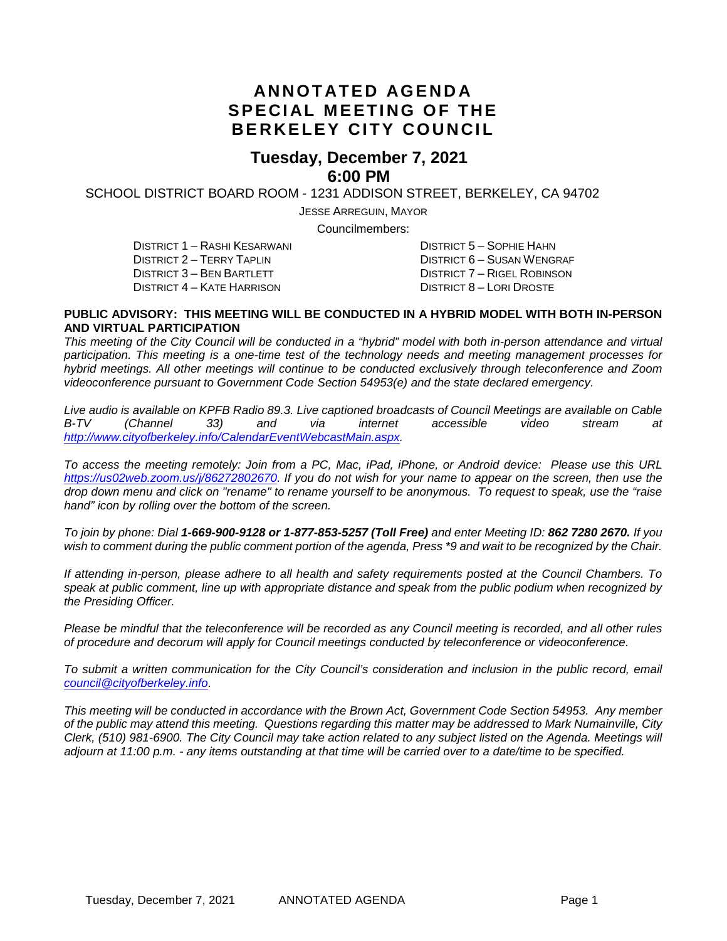### **ANNOTATED AGENDA SPECIAL MEETING OF THE BERKELEY CITY COUNCIL**

#### **Tuesday, December 7, 2021 6:00 PM**

SCHOOL DISTRICT BOARD ROOM - 1231 ADDISON STREET, BERKELEY, CA 94702

JESSE ARREGUIN, MAYOR

Councilmembers:

DISTRICT 1 – RASHI KESARWANI DISTRICT 5 – SOPHIE HAHN DISTRICT 4 – KATE HARRISON

DISTRICT 2 – TERRY TAPLIN DISTRICT 6 – SUSAN WENGRAF DISTRICT 7 – RIGEL ROBINSON<br>DISTRICT 8 – LORI DROSTE

#### **PUBLIC ADVISORY: THIS MEETING WILL BE CONDUCTED IN A HYBRID MODEL WITH BOTH IN-PERSON AND VIRTUAL PARTICIPATION**

*This meeting of the City Council will be conducted in a "hybrid" model with both in-person attendance and virtual participation. This meeting is a one-time test of the technology needs and meeting management processes for hybrid meetings. All other meetings will continue to be conducted exclusively through teleconference and Zoom videoconference pursuant to Government Code Section 54953(e) and the state declared emergency.*

*Live audio is available on KPFB Radio 89.3. Live captioned broadcasts of Council Meetings are available on Cable B-TV (Channel 33) and via internet accessible video stream at [http://www.cityofberkeley.info/CalendarEventWebcastMain.aspx.](http://www.cityofberkeley.info/CalendarEventWebcastMain.aspx)*

*To access the meeting remotely: Join from a PC, Mac, iPad, iPhone, or Android device: Please use this URL [https://us02web.zoom.us/j/86272802670.](https://us02web.zoom.us/j/86272802670) If you do not wish for your name to appear on the screen, then use the drop down menu and click on "rename" to rename yourself to be anonymous. To request to speak, use the "raise hand" icon by rolling over the bottom of the screen.* 

*To join by phone: Dial 1-669-900-9128 or 1-877-853-5257 (Toll Free) and enter Meeting ID: 862 7280 2670. If you*  wish to comment during the public comment portion of the agenda, Press \*9 and wait to be recognized by the Chair.

*If attending in-person, please adhere to all health and safety requirements posted at the Council Chambers. To speak at public comment, line up with appropriate distance and speak from the public podium when recognized by the Presiding Officer.*

*Please be mindful that the teleconference will be recorded as any Council meeting is recorded, and all other rules of procedure and decorum will apply for Council meetings conducted by teleconference or videoconference.*

*To submit a written communication for the City Council's consideration and inclusion in the public record, email [council@cityofberkeley.info.](mailto:council@cityofberkeley.info)*

*This meeting will be conducted in accordance with the Brown Act, Government Code Section 54953. Any member of the public may attend this meeting. Questions regarding this matter may be addressed to Mark Numainville, City Clerk, (510) 981-6900. The City Council may take action related to any subject listed on the Agenda. Meetings will adjourn at 11:00 p.m. - any items outstanding at that time will be carried over to a date/time to be specified.*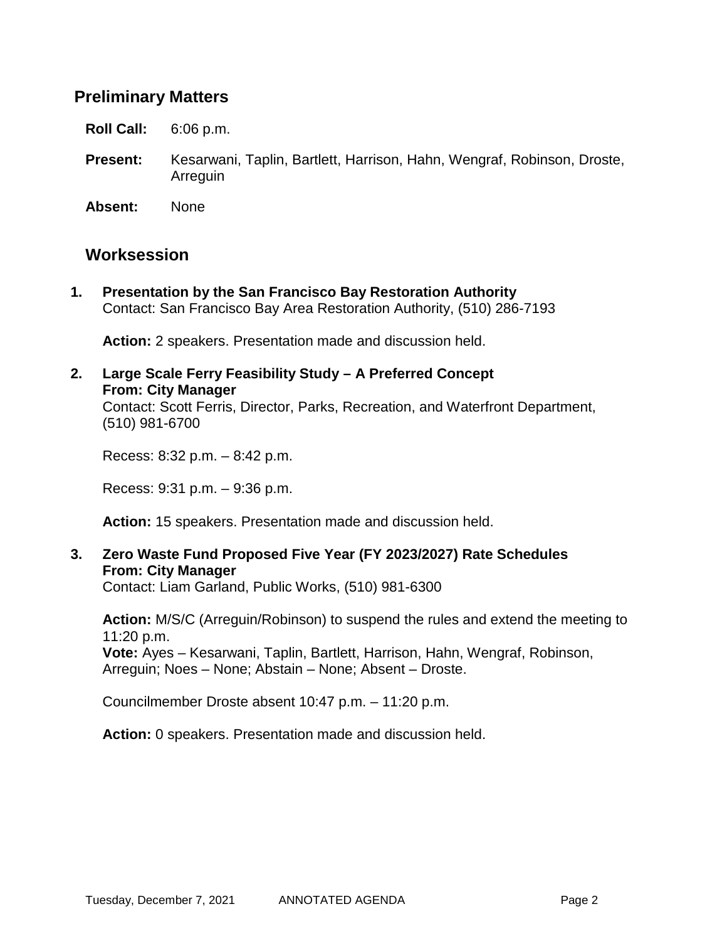### **Preliminary Matters**

**Roll Call:** 6:06 p.m.

**Present:** Kesarwani, Taplin, Bartlett, Harrison, Hahn, Wengraf, Robinson, Droste, Arreguin

**Absent:** None

### **Worksession**

**1. Presentation by the San Francisco Bay Restoration Authority** Contact: San Francisco Bay Area Restoration Authority, (510) 286-7193

**Action:** 2 speakers. Presentation made and discussion held.

**2. Large Scale Ferry Feasibility Study – A Preferred Concept From: City Manager** Contact: Scott Ferris, Director, Parks, Recreation, and Waterfront Department, (510) 981-6700

Recess: 8:32 p.m. – 8:42 p.m.

Recess: 9:31 p.m. – 9:36 p.m.

**Action:** 15 speakers. Presentation made and discussion held.

#### **3. Zero Waste Fund Proposed Five Year (FY 2023/2027) Rate Schedules From: City Manager**

Contact: Liam Garland, Public Works, (510) 981-6300

**Action:** M/S/C (Arreguin/Robinson) to suspend the rules and extend the meeting to 11:20 p.m. **Vote:** Ayes – Kesarwani, Taplin, Bartlett, Harrison, Hahn, Wengraf, Robinson, Arreguin; Noes – None; Abstain – None; Absent – Droste.

Councilmember Droste absent 10:47 p.m. – 11:20 p.m.

**Action:** 0 speakers. Presentation made and discussion held.